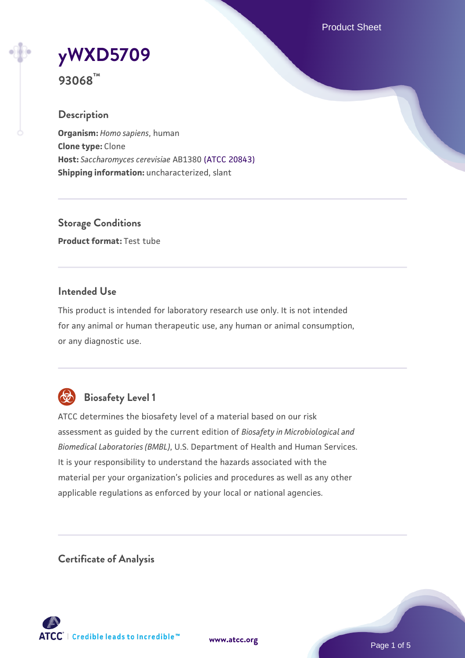Product Sheet

# **[yWXD5709](https://www.atcc.org/products/93068)**

**93068™**

# **Description**

**Organism:** *Homo sapiens*, human **Clone type:** Clone **Host:** *Saccharomyces cerevisiae* AB1380 [\(ATCC 20843\)](https://www.atcc.org/products/20843) **Shipping information:** uncharacterized, slant

**Storage Conditions Product format:** Test tube

# **Intended Use**

This product is intended for laboratory research use only. It is not intended for any animal or human therapeutic use, any human or animal consumption, or any diagnostic use.



# **Biosafety Level 1**

ATCC determines the biosafety level of a material based on our risk assessment as guided by the current edition of *Biosafety in Microbiological and Biomedical Laboratories (BMBL)*, U.S. Department of Health and Human Services. It is your responsibility to understand the hazards associated with the material per your organization's policies and procedures as well as any other applicable regulations as enforced by your local or national agencies.

**Certificate of Analysis**

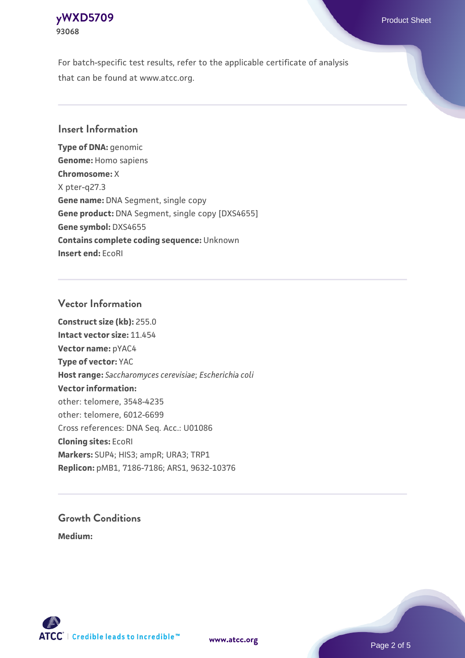# **[yWXD5709](https://www.atcc.org/products/93068)** Product Sheet **93068**

For batch-specific test results, refer to the applicable certificate of analysis that can be found at www.atcc.org.

# **Insert Information**

**Type of DNA:** genomic **Genome:** Homo sapiens **Chromosome:** X X pter-q27.3 **Gene name:** DNA Segment, single copy **Gene product:** DNA Segment, single copy [DXS4655] **Gene symbol:** DXS4655 **Contains complete coding sequence:** Unknown **Insert end:** EcoRI

#### **Vector Information**

**Construct size (kb):** 255.0 **Intact vector size:** 11.454 **Vector name:** pYAC4 **Type of vector:** YAC **Host range:** *Saccharomyces cerevisiae*; *Escherichia coli* **Vector information:** other: telomere, 3548-4235 other: telomere, 6012-6699 Cross references: DNA Seq. Acc.: U01086 **Cloning sites:** EcoRI **Markers:** SUP4; HIS3; ampR; URA3; TRP1 **Replicon:** pMB1, 7186-7186; ARS1, 9632-10376

# **Growth Conditions**

**Medium:** 



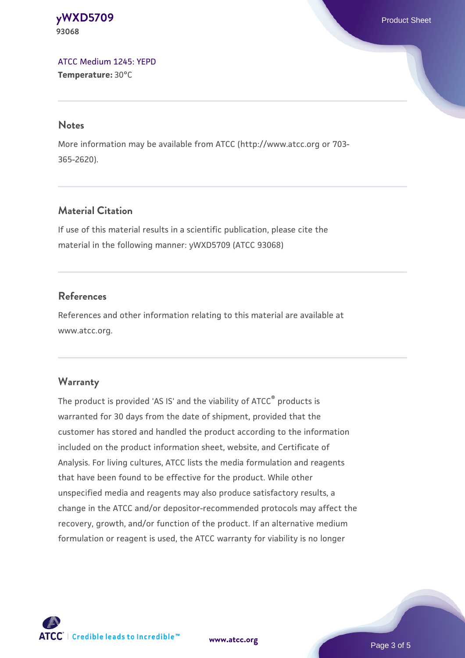**[yWXD5709](https://www.atcc.org/products/93068)** Product Sheet **93068**

[ATCC Medium 1245: YEPD](https://www.atcc.org/-/media/product-assets/documents/microbial-media-formulations/1/2/4/5/atcc-medium-1245.pdf?rev=705ca55d1b6f490a808a965d5c072196) **Temperature:** 30°C

#### **Notes**

More information may be available from ATCC (http://www.atcc.org or 703- 365-2620).

# **Material Citation**

If use of this material results in a scientific publication, please cite the material in the following manner: yWXD5709 (ATCC 93068)

# **References**

References and other information relating to this material are available at www.atcc.org.

### **Warranty**

The product is provided 'AS IS' and the viability of ATCC® products is warranted for 30 days from the date of shipment, provided that the customer has stored and handled the product according to the information included on the product information sheet, website, and Certificate of Analysis. For living cultures, ATCC lists the media formulation and reagents that have been found to be effective for the product. While other unspecified media and reagents may also produce satisfactory results, a change in the ATCC and/or depositor-recommended protocols may affect the recovery, growth, and/or function of the product. If an alternative medium formulation or reagent is used, the ATCC warranty for viability is no longer



**[www.atcc.org](http://www.atcc.org)**

Page 3 of 5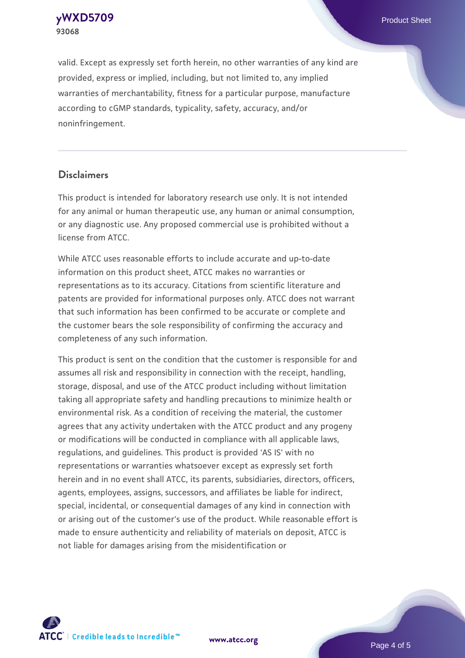**[yWXD5709](https://www.atcc.org/products/93068)** Product Sheet **93068**

valid. Except as expressly set forth herein, no other warranties of any kind are provided, express or implied, including, but not limited to, any implied warranties of merchantability, fitness for a particular purpose, manufacture according to cGMP standards, typicality, safety, accuracy, and/or noninfringement.

#### **Disclaimers**

This product is intended for laboratory research use only. It is not intended for any animal or human therapeutic use, any human or animal consumption, or any diagnostic use. Any proposed commercial use is prohibited without a license from ATCC.

While ATCC uses reasonable efforts to include accurate and up-to-date information on this product sheet, ATCC makes no warranties or representations as to its accuracy. Citations from scientific literature and patents are provided for informational purposes only. ATCC does not warrant that such information has been confirmed to be accurate or complete and the customer bears the sole responsibility of confirming the accuracy and completeness of any such information.

This product is sent on the condition that the customer is responsible for and assumes all risk and responsibility in connection with the receipt, handling, storage, disposal, and use of the ATCC product including without limitation taking all appropriate safety and handling precautions to minimize health or environmental risk. As a condition of receiving the material, the customer agrees that any activity undertaken with the ATCC product and any progeny or modifications will be conducted in compliance with all applicable laws, regulations, and guidelines. This product is provided 'AS IS' with no representations or warranties whatsoever except as expressly set forth herein and in no event shall ATCC, its parents, subsidiaries, directors, officers, agents, employees, assigns, successors, and affiliates be liable for indirect, special, incidental, or consequential damages of any kind in connection with or arising out of the customer's use of the product. While reasonable effort is made to ensure authenticity and reliability of materials on deposit, ATCC is not liable for damages arising from the misidentification or



**[www.atcc.org](http://www.atcc.org)**

Page 4 of 5